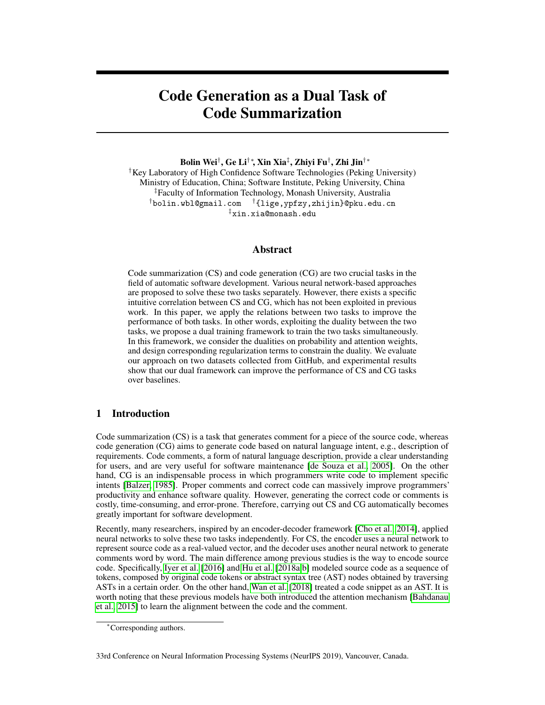# Code Generation as a Dual Task of Code Summarization

Bolin Wei<sup>†</sup>, Ge Li<sup>†</sup>\*, Xin Xia<sup>‡</sup>, Zhiyi Fu<sup>†</sup>, Zhi Jin<sup>†</sup>\*

†Key Laboratory of High Confidence Software Technologies (Peking University) Ministry of Education, China; Software Institute, Peking University, China ‡Faculty of Information Technology, Monash University, Australia †bolin.wbl@gmail.com †{lige,ypfzy,zhijin}@pku.edu.cn ‡xin.xia@monash.edu

# Abstract

Code summarization (CS) and code generation (CG) are two crucial tasks in the field of automatic software development. Various neural network-based approaches are proposed to solve these two tasks separately. However, there exists a specific intuitive correlation between CS and CG, which has not been exploited in previous work. In this paper, we apply the relations between two tasks to improve the performance of both tasks. In other words, exploiting the duality between the two tasks, we propose a dual training framework to train the two tasks simultaneously. In this framework, we consider the dualities on probability and attention weights, and design corresponding regularization terms to constrain the duality. We evaluate our approach on two datasets collected from GitHub, and experimental results show that our dual framework can improve the performance of CS and CG tasks over baselines.

# 1 Introduction

Code summarization (CS) is a task that generates comment for a piece of the source code, whereas code generation (CG) aims to generate code based on natural language intent, e.g., description of requirements. Code comments, a form of natural language description, provide a clear understanding for users, and are very useful for software maintenance [de Souza et al., 2005]. On the other hand, CG is an indispensable process in which programmers write code to implement specific intents [Balzer, 1985]. Proper comments and correct code can massively improve programmers' productivity and enhance software quality. However, generating the correct code or comments is costly, time-consuming, and error-prone. Therefore, carrying out CS and CG automatically becomes greatly important for software development.

Recently, many researchers, inspired by an encoder-decoder framework [Cho et al., 2014], applied neural networks to solve these two tasks independently. For CS, the encoder uses a neural network to represent source code as a real-valued vector, and the decoder uses another neural network to generate comments word by word. The main difference among previous studies is the way to encode source code. Specifically, Iyer et al. [2016] and Hu et al. [2018a,b] modeled source code as a sequence of tokens, composed by original code tokens or abstract syntax tree (AST) nodes obtained by traversing ASTs in a certain order. On the other hand, Wan et al. [2018] treated a code snippet as an AST. It is worth noting that these previous models have both introduced the attention mechanism [Bahdanau et al., 2015] to learn the alignment between the code and the comment.

33rd Conference on Neural Information Processing Systems (NeurIPS 2019), Vancouver, Canada.

<sup>∗</sup>Corresponding authors.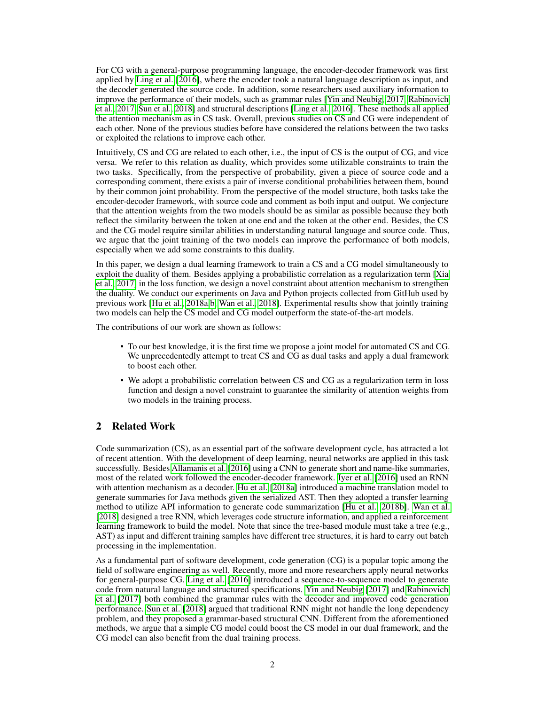For CG with a general-purpose programming language, the encoder-decoder framework was first applied by Ling et al. [2016], where the encoder took a natural language description as input, and the decoder generated the source code. In addition, some researchers used auxiliary information to improve the performance of their models, such as grammar rules [Yin and Neubig, 2017, Rabinovich et al., 2017, Sun et al., 2018] and structural descriptions [Ling et al., 2016]. These methods all applied the attention mechanism as in CS task. Overall, previous studies on CS and CG were independent of each other. None of the previous studies before have considered the relations between the two tasks or exploited the relations to improve each other.

Intuitively, CS and CG are related to each other, i.e., the input of CS is the output of CG, and vice versa. We refer to this relation as duality, which provides some utilizable constraints to train the two tasks. Specifically, from the perspective of probability, given a piece of source code and a corresponding comment, there exists a pair of inverse conditional probabilities between them, bound by their common joint probability. From the perspective of the model structure, both tasks take the encoder-decoder framework, with source code and comment as both input and output. We conjecture that the attention weights from the two models should be as similar as possible because they both reflect the similarity between the token at one end and the token at the other end. Besides, the CS and the CG model require similar abilities in understanding natural language and source code. Thus, we argue that the joint training of the two models can improve the performance of both models, especially when we add some constraints to this duality.

In this paper, we design a dual learning framework to train a CS and a CG model simultaneously to exploit the duality of them. Besides applying a probabilistic correlation as a regularization term [Xia et al., 2017] in the loss function, we design a novel constraint about attention mechanism to strengthen the duality. We conduct our experiments on Java and Python projects collected from GitHub used by previous work [Hu et al., 2018a,b, Wan et al., 2018]. Experimental results show that jointly training two models can help the CS model and CG model outperform the state-of-the-art models.

The contributions of our work are shown as follows:

- To our best knowledge, it is the first time we propose a joint model for automated CS and CG. We unprecedentedly attempt to treat CS and CG as dual tasks and apply a dual framework to boost each other.
- We adopt a probabilistic correlation between CS and CG as a regularization term in loss function and design a novel constraint to guarantee the similarity of attention weights from two models in the training process.

# 2 Related Work

Code summarization (CS), as an essential part of the software development cycle, has attracted a lot of recent attention. With the development of deep learning, neural networks are applied in this task successfully. Besides Allamanis et al. [2016] using a CNN to generate short and name-like summaries, most of the related work followed the encoder-decoder framework. Iyer et al. [2016] used an RNN with attention mechanism as a decoder. Hu et al. [2018a] introduced a machine translation model to generate summaries for Java methods given the serialized AST. Then they adopted a transfer learning method to utilize API information to generate code summarization [Hu et al., 2018b]. Wan et al. [2018] designed a tree RNN, which leverages code structure information, and applied a reinforcement learning framework to build the model. Note that since the tree-based module must take a tree (e.g., AST) as input and different training samples have different tree structures, it is hard to carry out batch processing in the implementation.

As a fundamental part of software development, code generation (CG) is a popular topic among the field of software engineering as well. Recently, more and more researchers apply neural networks for general-purpose CG. Ling et al. [2016] introduced a sequence-to-sequence model to generate code from natural language and structured specifications. Yin and Neubig [2017] and Rabinovich et al. [2017] both combined the grammar rules with the decoder and improved code generation performance. Sun et al. [2018] argued that traditional RNN might not handle the long dependency problem, and they proposed a grammar-based structural CNN. Different from the aforementioned methods, we argue that a simple CG model could boost the CS model in our dual framework, and the CG model can also benefit from the dual training process.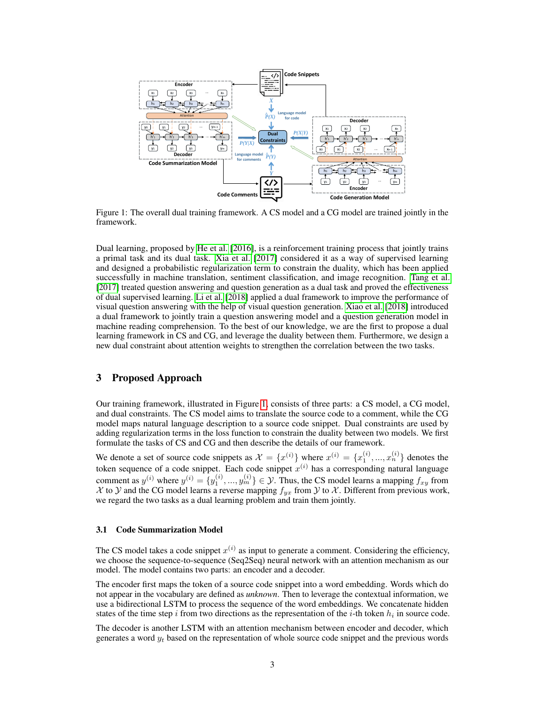

Figure 1: The overall dual training framework. A CS model and a CG model are trained jointly in the framework.

Dual learning, proposed by He et al. [2016], is a reinforcement training process that jointly trains a primal task and its dual task. Xia et al. [2017] considered it as a way of supervised learning and designed a probabilistic regularization term to constrain the duality, which has been applied successfully in machine translation, sentiment classification, and image recognition. Tang et al. [2017] treated question answering and question generation as a dual task and proved the effectiveness of dual supervised learning. Li et al. [2018] applied a dual framework to improve the performance of visual question answering with the help of visual question generation. Xiao et al. [2018] introduced a dual framework to jointly train a question answering model and a question generation model in machine reading comprehension. To the best of our knowledge, we are the first to propose a dual learning framework in CS and CG, and leverage the duality between them. Furthermore, we design a new dual constraint about attention weights to strengthen the correlation between the two tasks.

### 3 Proposed Approach

Our training framework, illustrated in Figure 1, consists of three parts: a CS model, a CG model, and dual constraints. The CS model aims to translate the source code to a comment, while the CG model maps natural language description to a source code snippet. Dual constraints are used by adding regularization terms in the loss function to constrain the duality between two models. We first formulate the tasks of CS and CG and then describe the details of our framework.

We denote a set of source code snippets as  $\mathcal{X} = \{x^{(i)}\}$  where  $x^{(i)} = \{x_1^{(i)}, ..., x_n^{(i)}\}$  denotes the token sequence of a code snippet. Each code snippet  $x^{(i)}$  has a corresponding natural language comment as  $y^{(i)}$  where  $y^{(i)} = \{y_1^{(i)}, ..., y_m^{(i)}\} \in \mathcal{Y}$ . Thus, the CS model learns a mapping  $f_{xy}$  from X to Y and the CG model learns a reverse mapping  $f_{yx}$  from Y to X. Different from previous work, we regard the two tasks as a dual learning problem and train them jointly.

#### 3.1 Code Summarization Model

The CS model takes a code snippet  $x^{(i)}$  as input to generate a comment. Considering the efficiency, we choose the sequence-to-sequence (Seq2Seq) neural network with an attention mechanism as our model. The model contains two parts: an encoder and a decoder.

The encoder first maps the token of a source code snippet into a word embedding. Words which do not appear in the vocabulary are defined as *unknown*. Then to leverage the contextual information, we use a bidirectional LSTM to process the sequence of the word embeddings. We concatenate hidden states of the time step i from two directions as the representation of the *i*-th token  $h_i$  in source code.

The decoder is another LSTM with an attention mechanism between encoder and decoder, which generates a word  $y_t$  based on the representation of whole source code snippet and the previous words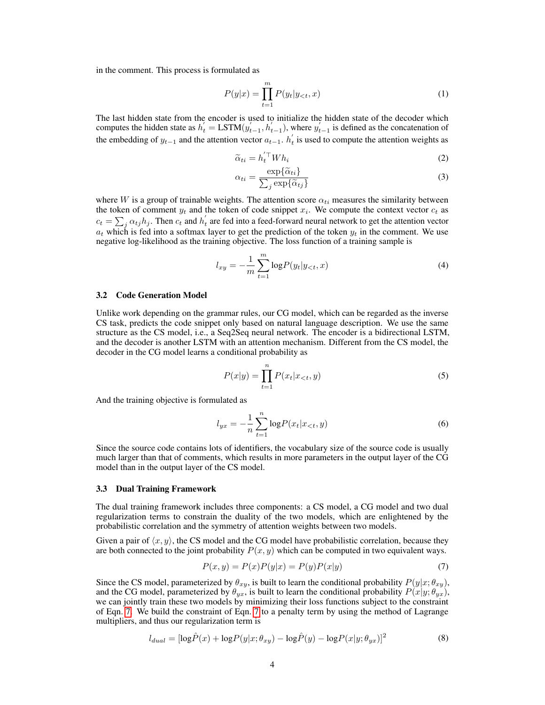in the comment. This process is formulated as

$$
P(y|x) = \prod_{t=1}^{m} P(y_t|y_{< t}, x) \tag{1}
$$

The last hidden state from the encoder is used to initialize the hidden state of the decoder which computes the hidden state as  $h'_t = LSTM(y'_{t-1}, h'_{t-1})$ , where  $y'_{t-1}$  is defined as the concatenation of the embedding of  $y_{t-1}$  and the attention vector  $a_{t-1}$ .  $h'_t$  is used to compute the attention weights as

$$
\widetilde{\alpha}_{ti} = h_t^{'\top} Wh_i \tag{2}
$$

$$
\alpha_{ti} = \frac{\exp{\{\widetilde{\alpha}_{ti}\}}}{\sum_{j} \exp{\{\widetilde{\alpha}_{tj}\}}}
$$
\n(3)

where W is a group of trainable weights. The attention score  $\alpha_{ti}$  measures the similarity between the token of comment  $y_t$  and the token of code snippet  $x_i$ . We compute the context vector  $c_t$  as  $c_t = \sum_j \alpha_{tj} h_j$ . Then  $c_t$  and  $h'_t$  are fed into a feed-forward neural network to get the attention vector  $a_t$  which is fed into a softmax layer to get the prediction of the token  $y_t$  in the comment. We use negative log-likelihood as the training objective. The loss function of a training sample is

$$
l_{xy} = -\frac{1}{m} \sum_{t=1}^{m} \log P(y_t | y_{< t}, x) \tag{4}
$$

#### 3.2 Code Generation Model

Unlike work depending on the grammar rules, our CG model, which can be regarded as the inverse CS task, predicts the code snippet only based on natural language description. We use the same structure as the CS model, i.e., a Seq2Seq neural network. The encoder is a bidirectional LSTM, and the decoder is another LSTM with an attention mechanism. Different from the CS model, the decoder in the CG model learns a conditional probability as

$$
P(x|y) = \prod_{t=1}^{n} P(x_t|x_{< t}, y) \tag{5}
$$

And the training objective is formulated as

$$
l_{yx} = -\frac{1}{n} \sum_{t=1}^{n} \log P(x_t | x_{< t}, y) \tag{6}
$$

Since the source code contains lots of identifiers, the vocabulary size of the source code is usually much larger than that of comments, which results in more parameters in the output layer of the CG model than in the output layer of the CS model.

#### 3.3 Dual Training Framework

The dual training framework includes three components: a CS model, a CG model and two dual regularization terms to constrain the duality of the two models, which are enlightened by the probabilistic correlation and the symmetry of attention weights between two models.

Given a pair of  $\langle x, y \rangle$ , the CS model and the CG model have probabilistic correlation, because they are both connected to the joint probability  $P(x, y)$  which can be computed in two equivalent ways.

$$
P(x,y) = P(x)P(y|x) = P(y)P(x|y)
$$
\n<sup>(7)</sup>

Since the CS model, parameterized by  $\theta_{xy}$ , is built to learn the conditional probability  $P(y|x; \theta_{xy})$ , and the CG model, parameterized by  $\theta_{yx}$ , is built to learn the conditional probability  $P(x|y; \theta_{yx})$ , we can jointly train these two models by minimizing their loss functions subject to the constraint of Eqn. 7. We build the constraint of Eqn. 7 to a penalty term by using the method of Lagrange multipliers, and thus our regularization term is

$$
l_{dual} = [\log \hat{P}(x) + \log P(y|x; \theta_{xy}) - \log \hat{P}(y) - \log P(x|y; \theta_{yx})]^2
$$
\n(8)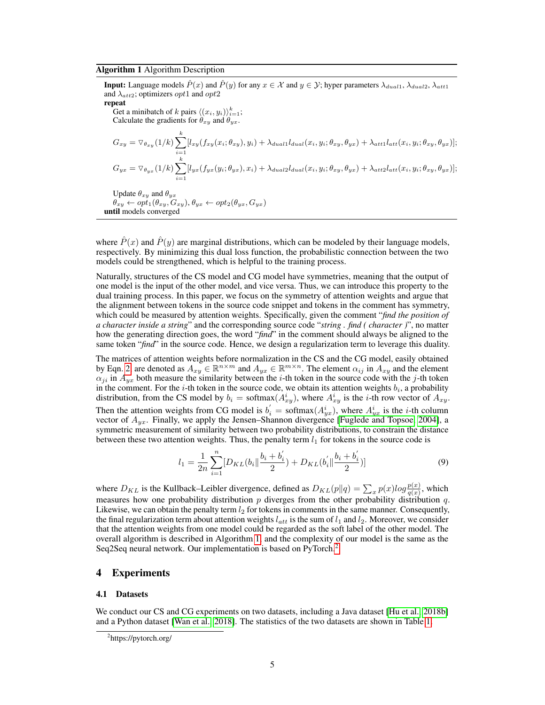#### Algorithm 1 Algorithm Description

**Input:** Language models  $\hat{P}(x)$  and  $\hat{P}(y)$  for any  $x \in \mathcal{X}$  and  $y \in \mathcal{Y}$ ; hyper parameters  $\lambda_{dual1}, \lambda_{dual2}, \lambda_{att1}$ and  $\lambda_{att2}$ ; optimizers *opt*1 and *opt*2 repeat

Get a minibatch of k pairs  $\langle (x_i, y_i) \rangle_{i=1}^k$ ; Calculate the gradients for  $\theta_{xy}$  and  $\theta_{yx}$ .

$$
G_{xy} = \nabla_{\theta_{xy}}(1/k) \sum_{i=1}^{k} [l_{xy}(f_{xy}(x_i; \theta_{xy}), y_i) + \lambda_{dual1}l_{dual}(x_i, y_i; \theta_{xy}, \theta_{yx}) + \lambda_{att1}l_{att}(x_i, y_i; \theta_{xy}, \theta_{yx})];
$$
  
\n
$$
G_{yx} = \nabla_{\theta_{yx}}(1/k) \sum_{i=1}^{k} [l_{yx}(f_{yx}(y_i; \theta_{yx}), x_i) + \lambda_{dual2}l_{dual}(x_i, y_i; \theta_{xy}, \theta_{yx}) + \lambda_{att2}l_{att}(x_i, y_i; \theta_{xy}, \theta_{yx})];
$$

Update 
$$
\theta_{xy}
$$
 and  $\theta_{yx}$   
\n $\theta_{xy} \leftarrow opt_1(\theta_{xy}, G_{xy}), \theta_{yx} \leftarrow opt_2(\theta_{yx}, G_{yx})$   
\nuntil models converged

where  $\hat{P}(x)$  and  $\hat{P}(y)$  are marginal distributions, which can be modeled by their language models, respectively. By minimizing this dual loss function, the probabilistic connection between the two models could be strengthened, which is helpful to the training process.

Naturally, structures of the CS model and CG model have symmetries, meaning that the output of one model is the input of the other model, and vice versa. Thus, we can introduce this property to the dual training process. In this paper, we focus on the symmetry of attention weights and argue that the alignment between tokens in the source code snippet and tokens in the comment has symmetry, which could be measured by attention weights. Specifically, given the comment "*find the position of a character inside a string*" and the corresponding source code "*string . find ( character )*", no matter how the generating direction goes, the word "*find*" in the comment should always be aligned to the same token "*find*" in the source code. Hence, we design a regularization term to leverage this duality.

The matrices of attention weights before normalization in the CS and the CG model, easily obtained by Eqn. 2, are denoted as  $A_{xy} \in \mathbb{R}^{n \times m}$  and  $A_{yx} \in \mathbb{R}^{m \times n}$ . The element  $\alpha_{ij}$  in  $A_{xy}$  and the element  $\alpha_{ji}$  in  $A_{yx}$  both measure the similarity between the *i*-th token in the source code with the *j*-th token in the comment. For the *i*-th token in the source code, we obtain its attention weights  $b_i$ , a probability distribution, from the CS model by  $b_i = \text{softmax}(A_{xy}^i)$ , where  $A_{xy}^i$  is the *i*-th row vector of  $A_{xy}$ . Then the attention weights from CG model is  $b'_i = \text{softmax}(A_{yx}^i)$ , where  $A_{yx}^i$  is the *i*-th column vector of  $A_{yx}$ . Finally, we apply the Jensen–Shannon divergence [Fuglede and Topsoe, 2004], a symmetric measurement of similarity between two probability distributions, to constrain the distance between these two attention weights. Thus, the penalty term  $l_1$  for tokens in the source code is

$$
l_1 = \frac{1}{2n} \sum_{i=1}^{n} [D_{KL}(b_i || \frac{b_i + b_i'}{2}) + D_{KL}(b_i' || \frac{b_i + b_i'}{2})]
$$
(9)

where  $D_{KL}$  is the Kullback–Leibler divergence, defined as  $D_{KL}(p||q) = \sum_x p(x)log\frac{p(x)}{q(x)}$ , which measures how one probability distribution  $p$  diverges from the other probability distribution  $q$ . Likewise, we can obtain the penalty term  $l_2$  for tokens in comments in the same manner. Consequently, the final regularization term about attention weights  $l_{att}$  is the sum of  $l_1$  and  $l_2$ . Moreover, we consider that the attention weights from one model could be regarded as the soft label of the other model. The overall algorithm is described in Algorithm 1, and the complexity of our model is the same as the Seq2Seq neural network. Our implementation is based on PyTorch.<sup>2</sup>

### 4 Experiments

#### 4.1 Datasets

We conduct our CS and CG experiments on two datasets, including a Java dataset [Hu et al., 2018b] and a Python dataset [Wan et al., 2018]. The statistics of the two datasets are shown in Table 1.

<sup>&</sup>lt;sup>2</sup>https://pytorch.org/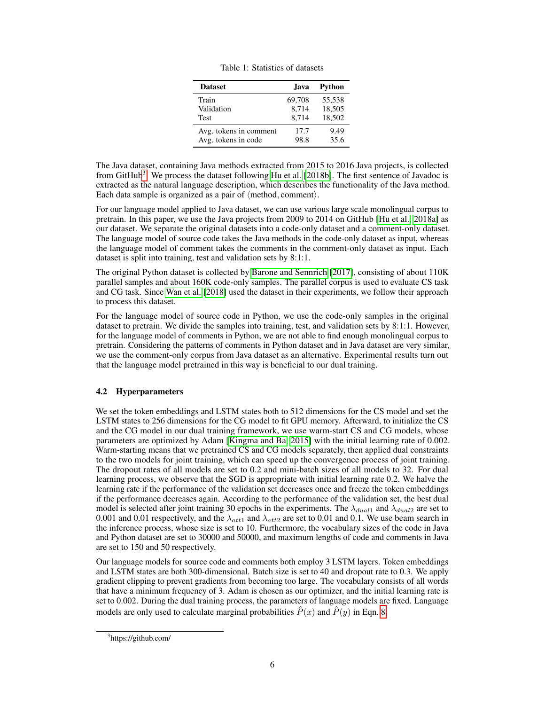| <b>Dataset</b>         | Java   | Python |
|------------------------|--------|--------|
| Train                  | 69,708 | 55,538 |
| Validation             | 8,714  | 18,505 |
| Test                   | 8,714  | 18,502 |
| Avg. tokens in comment | 17.7   | 9.49   |
| Avg. tokens in code    | 98.8   | 35.6   |

Table 1: Statistics of datasets

The Java dataset, containing Java methods extracted from 2015 to 2016 Java projects, is collected from GitHub<sup>3</sup>. We process the dataset following Hu et al. [2018b]. The first sentence of Javadoc is extracted as the natural language description, which describes the functionality of the Java method. Each data sample is organized as a pair of  $\langle$  method, comment $\rangle$ .

For our language model applied to Java dataset, we can use various large scale monolingual corpus to pretrain. In this paper, we use the Java projects from 2009 to 2014 on GitHub [Hu et al., 2018a] as our dataset. We separate the original datasets into a code-only dataset and a comment-only dataset. The language model of source code takes the Java methods in the code-only dataset as input, whereas the language model of comment takes the comments in the comment-only dataset as input. Each dataset is split into training, test and validation sets by 8:1:1.

The original Python dataset is collected by Barone and Sennrich [2017], consisting of about 110K parallel samples and about 160K code-only samples. The parallel corpus is used to evaluate CS task and CG task. Since Wan et al. [2018] used the dataset in their experiments, we follow their approach to process this dataset.

For the language model of source code in Python, we use the code-only samples in the original dataset to pretrain. We divide the samples into training, test, and validation sets by 8:1:1. However, for the language model of comments in Python, we are not able to find enough monolingual corpus to pretrain. Considering the patterns of comments in Python dataset and in Java dataset are very similar, we use the comment-only corpus from Java dataset as an alternative. Experimental results turn out that the language model pretrained in this way is beneficial to our dual training.

# 4.2 Hyperparameters

We set the token embeddings and LSTM states both to 512 dimensions for the CS model and set the LSTM states to 256 dimensions for the CG model to fit GPU memory. Afterward, to initialize the CS and the CG model in our dual training framework, we use warm-start CS and CG models, whose parameters are optimized by Adam [Kingma and Ba, 2015] with the initial learning rate of 0.002. Warm-starting means that we pretrained CS and CG models separately, then applied dual constraints to the two models for joint training, which can speed up the convergence process of joint training. The dropout rates of all models are set to 0.2 and mini-batch sizes of all models to 32. For dual learning process, we observe that the SGD is appropriate with initial learning rate 0.2. We halve the learning rate if the performance of the validation set decreases once and freeze the token embeddings if the performance decreases again. According to the performance of the validation set, the best dual model is selected after joint training 30 epochs in the experiments. The  $\lambda_{dual1}$  and  $\lambda_{dual2}$  are set to 0.001 and 0.01 respectively, and the  $\lambda_{att1}$  and  $\lambda_{att2}$  are set to 0.01 and 0.1. We use beam search in the inference process, whose size is set to 10. Furthermore, the vocabulary sizes of the code in Java and Python dataset are set to 30000 and 50000, and maximum lengths of code and comments in Java are set to 150 and 50 respectively.

Our language models for source code and comments both employ 3 LSTM layers. Token embeddings and LSTM states are both 300-dimensional. Batch size is set to 40 and dropout rate to 0.3. We apply gradient clipping to prevent gradients from becoming too large. The vocabulary consists of all words that have a minimum frequency of 3. Adam is chosen as our optimizer, and the initial learning rate is set to 0.002. During the dual training process, the parameters of language models are fixed. Language models are only used to calculate marginal probabilities  $\hat{P}(x)$  and  $\hat{P}(y)$  in Eqn. 8.

<sup>3</sup> https://github.com/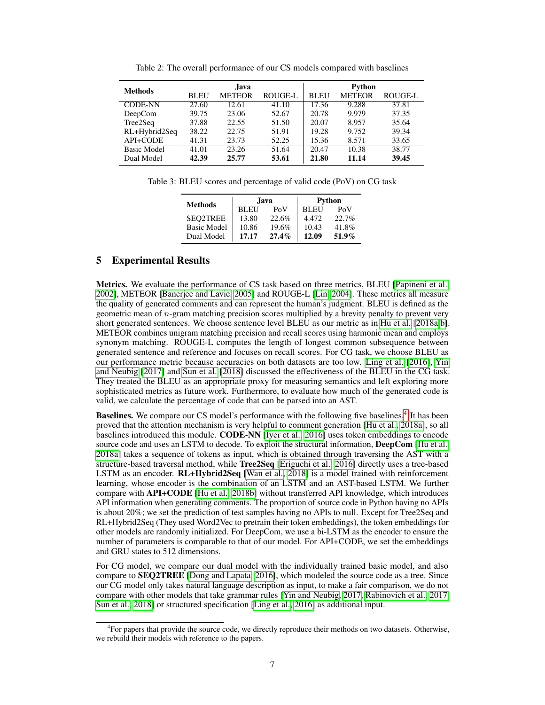| <b>Methods</b>     | Java        |                                 |       | Python      |               |                |  |
|--------------------|-------------|---------------------------------|-------|-------------|---------------|----------------|--|
|                    | <b>BLEU</b> | <b>ROUGE-L</b><br><b>METEOR</b> |       | <b>BLEU</b> | <b>METEOR</b> | <b>ROUGE-L</b> |  |
| <b>CODE-NN</b>     | 27.60       | 12.61                           | 41.10 | 17.36       | 9.288         | 37.81          |  |
| DeepCom            | 39.75       | 23.06                           | 52.67 | 20.78       | 9.979         | 37.35          |  |
| Tree2Seq           | 37.88       | 22.55                           | 51.50 | 20.07       | 8.957         | 35.64          |  |
| RL+Hybrid2Seq      | 38.22       | 22.75                           | 51.91 | 19.28       | 9.752         | 39.34          |  |
| API+CODE           | 41.31       | 23.73                           | 52.25 | 15.36       | 8.571         | 33.65          |  |
| <b>Basic Model</b> | 41.01       | 23.26                           | 51.64 | 20.47       | 10.38         | 38.77          |  |
| Dual Model         | 42.39       | 25.77                           | 53.61 | 21.80       | 11.14         | 39.45          |  |

Table 2: The overall performance of our CS models compared with baselines

Table 3: BLEU scores and percentage of valid code (PoV) on CG task

| <b>Methods</b>     |                    | Java  | Python      |          |  |
|--------------------|--------------------|-------|-------------|----------|--|
|                    | <b>BLEU</b><br>PoV |       | <b>BLEU</b> | PoV      |  |
| <b>SEO2TREE</b>    | 13.80              | 22.6% | 4.472       | 22.7%    |  |
| <b>Basic Model</b> | 10.86              | 19.6% | 10.43       | 41.8%    |  |
| Dual Model         | 17.17              | 27.4% | 12.09       | $51.9\%$ |  |

# 5 Experimental Results

Metrics. We evaluate the performance of CS task based on three metrics, BLEU [Papineni et al., 2002], METEOR [Banerjee and Lavie, 2005] and ROUGE-L [Lin, 2004]. These metrics all measure the quality of generated comments and can represent the human's judgment. BLEU is defined as the geometric mean of  $n$ -gram matching precision scores multiplied by a brevity penalty to prevent very short generated sentences. We choose sentence level BLEU as our metric as in Hu et al. [2018a,b]. METEOR combines unigram matching precision and recall scores using harmonic mean and employs synonym matching. ROUGE-L computes the length of longest common subsequence between generated sentence and reference and focuses on recall scores. For CG task, we choose BLEU as our performance metric because accuracies on both datasets are too low. Ling et al. [2016], Yin and Neubig [2017] and Sun et al. [2018] discussed the effectiveness of the BLEU in the CG task. They treated the BLEU as an appropriate proxy for measuring semantics and left exploring more sophisticated metrics as future work. Furthermore, to evaluate how much of the generated code is valid, we calculate the percentage of code that can be parsed into an AST.

Baselines. We compare our CS model's performance with the following five baselines.<sup>4</sup> It has been proved that the attention mechanism is very helpful to comment generation [Hu et al., 2018a], so all baselines introduced this module. CODE-NN [Iyer et al., 2016] uses token embeddings to encode source code and uses an LSTM to decode. To exploit the structural information, DeepCom [Hu et al., 2018a] takes a sequence of tokens as input, which is obtained through traversing the AST with a structure-based traversal method, while Tree2Seq [Eriguchi et al., 2016] directly uses a tree-based LSTM as an encoder. RL+Hybrid2Seq [Wan et al., 2018] is a model trained with reinforcement learning, whose encoder is the combination of an LSTM and an AST-based LSTM. We further compare with API+CODE [Hu et al., 2018b] without transferred API knowledge, which introduces API information when generating comments. The proportion of source code in Python having no APIs is about 20%; we set the prediction of test samples having no APIs to null. Except for Tree2Seq and RL+Hybrid2Seq (They used Word2Vec to pretrain their token embeddings), the token embeddings for other models are randomly initialized. For DeepCom, we use a bi-LSTM as the encoder to ensure the number of parameters is comparable to that of our model. For API+CODE, we set the embeddings and GRU states to 512 dimensions.

For CG model, we compare our dual model with the individually trained basic model, and also compare to SEQ2TREE [Dong and Lapata, 2016], which modeled the source code as a tree. Since our CG model only takes natural language description as input, to make a fair comparison, we do not compare with other models that take grammar rules [Yin and Neubig, 2017, Rabinovich et al., 2017, Sun et al., 2018] or structured specification [Ling et al., 2016] as additional input.

<sup>4</sup> For papers that provide the source code, we directly reproduce their methods on two datasets. Otherwise, we rebuild their models with reference to the papers.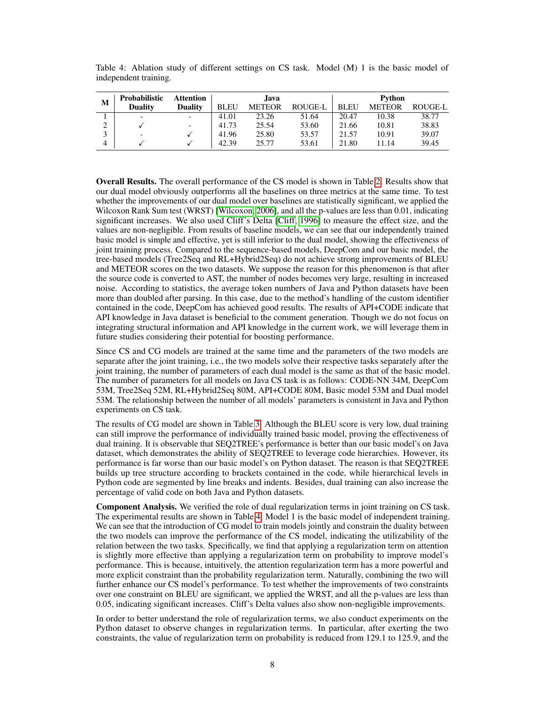| М | <b>Probabilistic</b> | <b>Attention</b> |             | Java.         |                | Python      |               |         |
|---|----------------------|------------------|-------------|---------------|----------------|-------------|---------------|---------|
|   | <b>Duality</b>       | <b>Duality</b>   | <b>BLEU</b> | <b>METEOR</b> | <b>ROUGE-L</b> | <b>BLEU</b> | <b>METEOR</b> | ROUGE-L |
|   |                      |                  | 41.01       | 23.26         | 51.64          | 20.47       | 10.38         | 38.77   |
|   |                      |                  | 41.73       | 25.54         | 53.60          | 21.66       | 10.81         | 38.83   |
|   |                      |                  | 41.96       | 25.80         | 53.57          | 21.57       | 10.91         | 39.07   |
| 4 |                      |                  | 42.39       | 25.77         | 53.61          | 21.80       | 11.14         | 39.45   |

Table 4: Ablation study of different settings on CS task. Model (M) 1 is the basic model of independent training.

Overall Results. The overall performance of the CS model is shown in Table 2. Results show that our dual model obviously outperforms all the baselines on three metrics at the same time. To test whether the improvements of our dual model over baselines are statistically significant, we applied the Wilcoxon Rank Sum test (WRST) [Wilcoxon, 2006], and all the p-values are less than 0.01, indicating significant increases. We also used Cliff's Delta [Cliff, 1996] to measure the effect size, and the values are non-negligible. From results of baseline models, we can see that our independently trained basic model is simple and effective, yet is still inferior to the dual model, showing the effectiveness of joint training process. Compared to the sequence-based models, DeepCom and our basic model, the tree-based models (Tree2Seq and RL+Hybrid2Seq) do not achieve strong improvements of BLEU and METEOR scores on the two datasets. We suppose the reason for this phenomenon is that after the source code is converted to AST, the number of nodes becomes very large, resulting in increased noise. According to statistics, the average token numbers of Java and Python datasets have been more than doubled after parsing. In this case, due to the method's handling of the custom identifier contained in the code, DeepCom has achieved good results. The results of API+CODE indicate that API knowledge in Java dataset is beneficial to the comment generation. Though we do not focus on integrating structural information and API knowledge in the current work, we will leverage them in future studies considering their potential for boosting performance.

Since CS and CG models are trained at the same time and the parameters of the two models are separate after the joint training, i.e., the two models solve their respective tasks separately after the joint training, the number of parameters of each dual model is the same as that of the basic model. The number of parameters for all models on Java CS task is as follows: CODE-NN 34M, DeepCom 53M, Tree2Seq 52M, RL+Hybrid2Seq 80M, API+CODE 80M, Basic model 53M and Dual model 53M. The relationship between the number of all models' parameters is consistent in Java and Python experiments on CS task.

The results of CG model are shown in Table 3. Although the BLEU score is very low, dual training can still improve the performance of individually trained basic model, proving the effectiveness of dual training. It is observable that SEQ2TREE's performance is better than our basic model's on Java dataset, which demonstrates the ability of SEQ2TREE to leverage code hierarchies. However, its performance is far worse than our basic model's on Python dataset. The reason is that SEQ2TREE builds up tree structure according to brackets contained in the code, while hierarchical levels in Python code are segmented by line breaks and indents. Besides, dual training can also increase the percentage of valid code on both Java and Python datasets.

Component Analysis. We verified the role of dual regularization terms in joint training on CS task. The experimental results are shown in Table 4. Model 1 is the basic model of independent training. We can see that the introduction of CG model to train models jointly and constrain the duality between the two models can improve the performance of the CS model, indicating the utilizability of the relation between the two tasks. Specifically, we find that applying a regularization term on attention is slightly more effective than applying a regularization term on probability to improve model's performance. This is because, intuitively, the attention regularization term has a more powerful and more explicit constraint than the probability regularization term. Naturally, combining the two will further enhance our CS model's performance. To test whether the improvements of two constraints over one constraint on BLEU are significant, we applied the WRST, and all the p-values are less than 0.05, indicating significant increases. Cliff's Delta values also show non-negligible improvements.

In order to better understand the role of regularization terms, we also conduct experiments on the Python dataset to observe changes in regularization terms. In particular, after exerting the two constraints, the value of regularization term on probability is reduced from 129.1 to 125.9, and the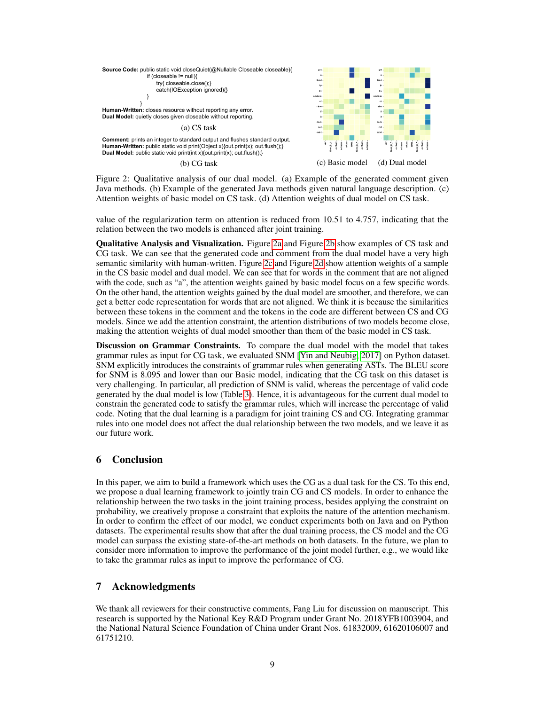

Figure 2: Qualitative analysis of our dual model. (a) Example of the generated comment given Java methods. (b) Example of the generated Java methods given natural language description. (c) Attention weights of basic model on CS task. (d) Attention weights of dual model on CS task.

value of the regularization term on attention is reduced from 10.51 to 4.757, indicating that the relation between the two models is enhanced after joint training.

Qualitative Analysis and Visualization. Figure 2a and Figure 2b show examples of CS task and CG task. We can see that the generated code and comment from the dual model have a very high semantic similarity with human-written. Figure 2c and Figure 2d show attention weights of a sample in the CS basic model and dual model. We can see that for words in the comment that are not aligned with the code, such as "a", the attention weights gained by basic model focus on a few specific words. On the other hand, the attention weights gained by the dual model are smoother, and therefore, we can get a better code representation for words that are not aligned. We think it is because the similarities between these tokens in the comment and the tokens in the code are different between CS and CG models. Since we add the attention constraint, the attention distributions of two models become close, making the attention weights of dual model smoother than them of the basic model in CS task.

Discussion on Grammar Constraints. To compare the dual model with the model that takes grammar rules as input for CG task, we evaluated SNM [Yin and Neubig, 2017] on Python dataset. SNM explicitly introduces the constraints of grammar rules when generating ASTs. The BLEU score for SNM is 8.095 and lower than our Basic model, indicating that the CG task on this dataset is very challenging. In particular, all prediction of SNM is valid, whereas the percentage of valid code generated by the dual model is low (Table 3). Hence, it is advantageous for the current dual model to constrain the generated code to satisfy the grammar rules, which will increase the percentage of valid code. Noting that the dual learning is a paradigm for joint training CS and CG. Integrating grammar rules into one model does not affect the dual relationship between the two models, and we leave it as our future work.

# 6 Conclusion

In this paper, we aim to build a framework which uses the CG as a dual task for the CS. To this end, we propose a dual learning framework to jointly train CG and CS models. In order to enhance the relationship between the two tasks in the joint training process, besides applying the constraint on probability, we creatively propose a constraint that exploits the nature of the attention mechanism. In order to confirm the effect of our model, we conduct experiments both on Java and on Python datasets. The experimental results show that after the dual training process, the CS model and the CG model can surpass the existing state-of-the-art methods on both datasets. In the future, we plan to consider more information to improve the performance of the joint model further, e.g., we would like to take the grammar rules as input to improve the performance of CG.

# 7 Acknowledgments

We thank all reviewers for their constructive comments, Fang Liu for discussion on manuscript. This research is supported by the National Key R&D Program under Grant No. 2018YFB1003904, and the National Natural Science Foundation of China under Grant Nos. 61832009, 61620106007 and 61751210.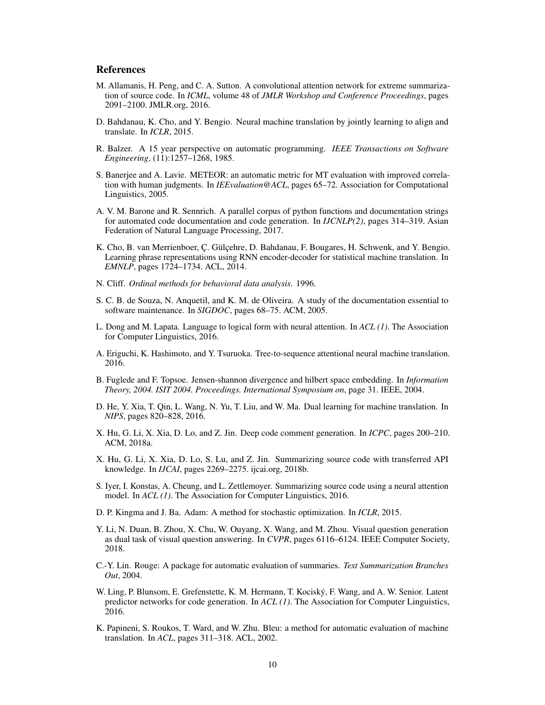## References

- M. Allamanis, H. Peng, and C. A. Sutton. A convolutional attention network for extreme summarization of source code. In *ICML*, volume 48 of *JMLR Workshop and Conference Proceedings*, pages 2091–2100. JMLR.org, 2016.
- D. Bahdanau, K. Cho, and Y. Bengio. Neural machine translation by jointly learning to align and translate. In *ICLR*, 2015.
- R. Balzer. A 15 year perspective on automatic programming. *IEEE Transactions on Software Engineering*, (11):1257–1268, 1985.
- S. Banerjee and A. Lavie. METEOR: an automatic metric for MT evaluation with improved correlation with human judgments. In *IEEvaluation@ACL*, pages 65–72. Association for Computational Linguistics, 2005.
- A. V. M. Barone and R. Sennrich. A parallel corpus of python functions and documentation strings for automated code documentation and code generation. In *IJCNLP(2)*, pages 314–319. Asian Federation of Natural Language Processing, 2017.
- K. Cho, B. van Merrienboer, Ç. Gülçehre, D. Bahdanau, F. Bougares, H. Schwenk, and Y. Bengio. Learning phrase representations using RNN encoder-decoder for statistical machine translation. In *EMNLP*, pages 1724–1734. ACL, 2014.
- N. Cliff. *Ordinal methods for behavioral data analysis*. 1996.
- S. C. B. de Souza, N. Anquetil, and K. M. de Oliveira. A study of the documentation essential to software maintenance. In *SIGDOC*, pages 68–75. ACM, 2005.
- L. Dong and M. Lapata. Language to logical form with neural attention. In *ACL (1)*. The Association for Computer Linguistics, 2016.
- A. Eriguchi, K. Hashimoto, and Y. Tsuruoka. Tree-to-sequence attentional neural machine translation. 2016.
- B. Fuglede and F. Topsoe. Jensen-shannon divergence and hilbert space embedding. In *Information Theory, 2004. ISIT 2004. Proceedings. International Symposium on*, page 31. IEEE, 2004.
- D. He, Y. Xia, T. Qin, L. Wang, N. Yu, T. Liu, and W. Ma. Dual learning for machine translation. In *NIPS*, pages 820–828, 2016.
- X. Hu, G. Li, X. Xia, D. Lo, and Z. Jin. Deep code comment generation. In *ICPC*, pages 200–210. ACM, 2018a.
- X. Hu, G. Li, X. Xia, D. Lo, S. Lu, and Z. Jin. Summarizing source code with transferred API knowledge. In *IJCAI*, pages 2269–2275. ijcai.org, 2018b.
- S. Iyer, I. Konstas, A. Cheung, and L. Zettlemoyer. Summarizing source code using a neural attention model. In *ACL (1)*. The Association for Computer Linguistics, 2016.
- D. P. Kingma and J. Ba. Adam: A method for stochastic optimization. In *ICLR*, 2015.
- Y. Li, N. Duan, B. Zhou, X. Chu, W. Ouyang, X. Wang, and M. Zhou. Visual question generation as dual task of visual question answering. In *CVPR*, pages 6116–6124. IEEE Computer Society, 2018.
- C.-Y. Lin. Rouge: A package for automatic evaluation of summaries. *Text Summarization Branches Out*, 2004.
- W. Ling, P. Blunsom, E. Grefenstette, K. M. Hermann, T. Kociský, F. Wang, and A. W. Senior. Latent predictor networks for code generation. In *ACL (1)*. The Association for Computer Linguistics, 2016.
- K. Papineni, S. Roukos, T. Ward, and W. Zhu. Bleu: a method for automatic evaluation of machine translation. In *ACL*, pages 311–318. ACL, 2002.